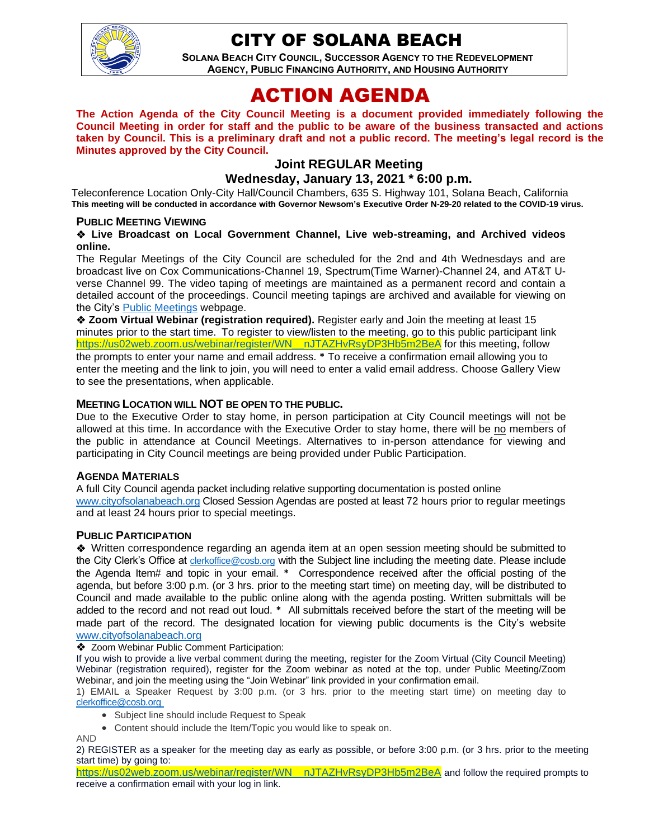

## CITY OF SOLANA BEACH

**SOLANA BEACH CITY COUNCIL, SUCCESSOR AGENCY TO THE REDEVELOPMENT AGENCY, PUBLIC FINANCING AUTHORITY, AND HOUSING AUTHORITY** 

# ACTION AGENDA

**The Action Agenda of the City Council Meeting is a document provided immediately following the Council Meeting in order for staff and the public to be aware of the business transacted and actions taken by Council. This is a preliminary draft and not a public record. The meeting's legal record is the Minutes approved by the City Council.**

## **Joint REGULAR Meeting**

#### **Wednesday, January 13, 2021 \* 6:00 p.m.**

Teleconference Location Only-City Hall/Council Chambers, 635 S. Highway 101, Solana Beach, California **This meeting will be conducted in accordance with Governor Newsom's Executive Order N-29-20 related to the COVID-19 virus.**

#### **PUBLIC MEETING VIEWING**

#### ❖ **Live Broadcast on Local Government Channel, Live web-streaming, and Archived videos online.**

The Regular Meetings of the City Council are scheduled for the 2nd and 4th Wednesdays and are broadcast live on Cox Communications-Channel 19, Spectrum(Time Warner)-Channel 24, and AT&T Uverse Channel 99. The video taping of meetings are maintained as a permanent record and contain a detailed account of the proceedings. Council meeting tapings are archived and available for viewing on the City's [Public Meetings](https://urldefense.proofpoint.com/v2/url?u=https-3A__www.ci.solana-2Dbeach.ca.us_index.asp-3FSEC-3DF0F1200D-2D21C6-2D4A88-2D8AE1-2D0BC07C1A81A7-26Type-3DB-5FBASIC&d=DwMFAg&c=euGZstcaTDllvimEN8b7jXrwqOf-v5A_CdpgnVfiiMM&r=1XAsCUuqwK_tji2t0s1uIQ&m=wny2RVfZJ2tN24LkqZmkUWNpwL_peNtTZUBlTBZiMM4&s=WwpcEQpHHkFen6nS6q2waMuQ_VMZ-i1YZ60lD-dYRRE&e=) webpage.

❖ **Zoom Virtual Webinar (registration required).** Register early and Join the meeting at least 15 minutes prior to the start time. To register to view/listen to the meeting, go to this public participant link [https://us02web.zoom.us/webinar/register/WN\\_\\_nJTAZHvRsyDP3Hb5m2BeA](https://us02web.zoom.us/webinar/register/WN__nJTAZHvRsyDP3Hb5m2BeA) for this meeting, follow the prompts to enter your name and email address. **\*** To receive a confirmation email allowing you to enter the meeting and the link to join, you will need to enter a valid email address. Choose Gallery View to see the presentations, when applicable.

#### **MEETING LOCATION WILL NOT BE OPEN TO THE PUBLIC.**

Due to the Executive Order to stay home, in person participation at City Council meetings will not be allowed at this time. In accordance with the Executive Order to stay home, there will be no members of the public in attendance at Council Meetings. Alternatives to in-person attendance for viewing and participating in City Council meetings are being provided under Public Participation.

#### **AGENDA MATERIALS**

A full City Council agenda packet including relative supporting documentation is posted online [www.cityofsolanabeach.org](http://www.cityofsolanabeach.org/) Closed Session Agendas are posted at least 72 hours prior to regular meetings and at least 24 hours prior to special meetings.

#### **PUBLIC PARTICIPATION**

❖Written correspondence regarding an agenda item at an open session meeting should be submitted to the City Clerk's Office at [clerkoffice@cosb.org](mailto:clerkoffice@cosb.org) with the Subject line including the meeting date. Please include the Agenda Item# and topic in your email. **\*** Correspondence received after the official posting of the agenda, but before 3:00 p.m. (or 3 hrs. prior to the meeting start time) on meeting day, will be distributed to Council and made available to the public online along with the agenda posting. Written submittals will be added to the record and not read out loud. **\*** All submittals received before the start of the meeting will be made part of the record. The designated location for viewing public documents is the City's website [www.cityofsolanabeach.org](http://www.cityofsolanabeach.org/)

#### ❖ Zoom Webinar Public Comment Participation:

If you wish to provide a live verbal comment during the meeting, register for the Zoom Virtual (City Council Meeting) Webinar (registration required), register for the Zoom webinar as noted at the top, under Public Meeting/Zoom Webinar, and join the meeting using the "Join Webinar" link provided in your confirmation email.

1) EMAIL a Speaker Request by 3:00 p.m. (or 3 hrs. prior to the meeting start time) on meeting day to [clerkoffice@cosb.org](mailto:EMAILGRP-CityClerksOfc@cosb.org)

- Subject line should include Request to Speak
- Content should include the Item/Topic you would like to speak on.

AND

2) REGISTER as a speaker for the meeting day as early as possible, or before 3:00 p.m. (or 3 hrs. prior to the meeting start time) by going to:

[https://us02web.zoom.us/webinar/register/WN\\_\\_nJTAZHvRsyDP3Hb5m2BeA](https://us02web.zoom.us/webinar/register/WN__nJTAZHvRsyDP3Hb5m2BeA) and follow the required prompts to receive a confirmation email with your log in link.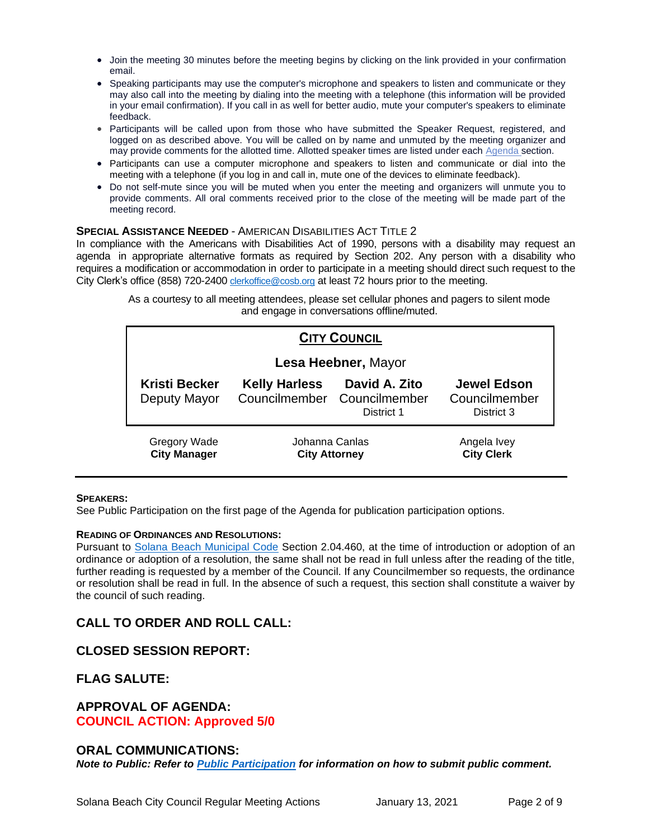- Join the meeting 30 minutes before the meeting begins by clicking on the link provided in your confirmation email.
- Speaking participants may use the computer's microphone and speakers to listen and communicate or they may also call into the meeting by dialing into the meeting with a telephone (this information will be provided in your email confirmation). If you call in as well for better audio, mute your computer's speakers to eliminate feedback.
- Participants will be called upon from those who have submitted the Speaker Request, registered, and logged on as described above. You will be called on by name and unmuted by the meeting organizer and may provide comments for the allotted time. Allotted speaker times are listed under each [Agenda s](https://urldefense.proofpoint.com/v2/url?u=https-3A__www.ci.solana-2Dbeach.ca.us_index.asp-3FSEC-3DF0F1200D-2D21C6-2D4A88-2D8AE1-2D0BC07C1A81A7-26Type-3DB-5FBASIC&d=DwMFaQ&c=euGZstcaTDllvimEN8b7jXrwqOf-v5A_CdpgnVfiiMM&r=1XAsCUuqwK_tji2t0s1uIQ&m=C7WzXfOw2_nkEFMJClT55zZsF4tmIf_7KTn0o1WpYqI&s=3DcsWExM2_nx_xpvFtXslUjphiXd0MDCCF18y_Qy5yU&e=)ection.
- Participants can use a computer microphone and speakers to listen and communicate or dial into the meeting with a telephone (if you log in and call in, mute one of the devices to eliminate feedback).
- Do not self-mute since you will be muted when you enter the meeting and organizers will unmute you to provide comments. All oral comments received prior to the close of the meeting will be made part of the meeting record.

#### **SPECIAL ASSISTANCE NEEDED** - AMERICAN DISABILITIES ACT TITLE 2

In compliance with the Americans with Disabilities Act of 1990, persons with a disability may request an agenda in appropriate alternative formats as required by Section 202. Any person with a disability who requires a modification or accommodation in order to participate in a meeting should direct such request to the City Clerk's office (858) 720-2400 [clerkoffice@cosb.org](mailto:EMAILGRP-CityClerksOfc@cosb.org) at least 72 hours prior to the meeting.

> As a courtesy to all meeting attendees, please set cellular phones and pagers to silent mode and engage in conversations offline/muted.

| <b>CITY COUNCIL</b>                  |                                        |                                                            |                                                   |  |  |
|--------------------------------------|----------------------------------------|------------------------------------------------------------|---------------------------------------------------|--|--|
| Lesa Heebner, Mayor                  |                                        |                                                            |                                                   |  |  |
| <b>Kristi Becker</b><br>Deputy Mayor | <b>Kelly Harless</b>                   | David A. Zito<br>Councilmember Councilmember<br>District 1 | <b>Jewel Edson</b><br>Councilmember<br>District 3 |  |  |
| Gregory Wade<br><b>City Manager</b>  | Johanna Canlas<br><b>City Attorney</b> |                                                            | Angela Ivey<br><b>City Clerk</b>                  |  |  |

#### **SPEAKERS:**

See Public Participation on the first page of the Agenda for publication participation options.

#### **READING OF ORDINANCES AND RESOLUTIONS:**

Pursuant to [Solana Beach Municipal Code](https://www.codepublishing.com/CA/SolanaBeach/) Section 2.04.460, at the time of introduction or adoption of an ordinance or adoption of a resolution, the same shall not be read in full unless after the reading of the title, further reading is requested by a member of the Council. If any Councilmember so requests, the ordinance or resolution shall be read in full. In the absence of such a request, this section shall constitute a waiver by the council of such reading.

## **CALL TO ORDER AND ROLL CALL:**

#### **CLOSED SESSION REPORT:**

#### **FLAG SALUTE:**

#### **APPROVAL OF AGENDA:**

**COUNCIL ACTION: Approved 5/0**

#### **ORAL COMMUNICATIONS:**

*Note to Public: Refer to Public Participation for information on how to submit public comment.*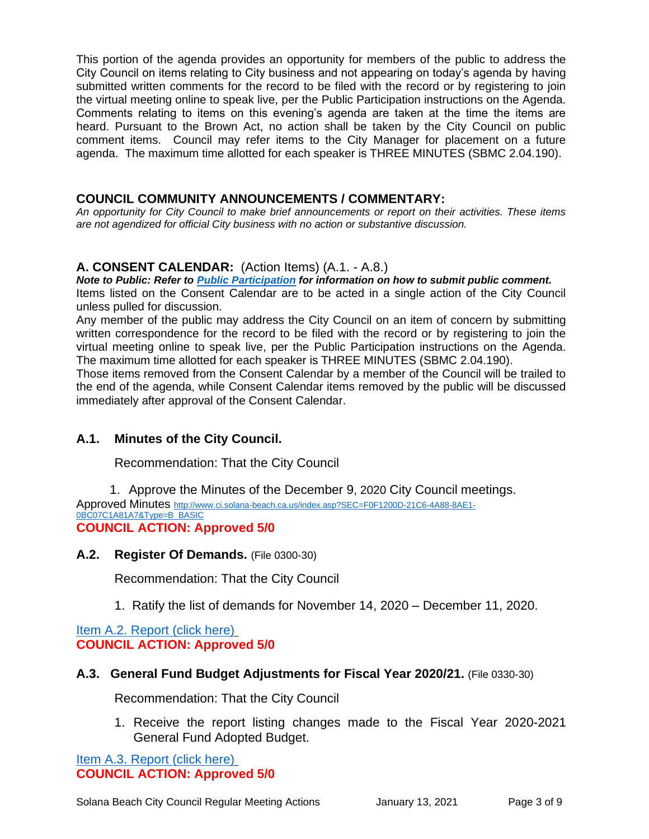This portion of the agenda provides an opportunity for members of the public to address the City Council on items relating to City business and not appearing on today's agenda by having submitted written comments for the record to be filed with the record or by registering to join the virtual meeting online to speak live, per the Public Participation instructions on the Agenda. Comments relating to items on this evening's agenda are taken at the time the items are heard. Pursuant to the Brown Act, no action shall be taken by the City Council on public comment items. Council may refer items to the City Manager for placement on a future agenda. The maximum time allotted for each speaker is THREE MINUTES (SBMC 2.04.190).

#### **COUNCIL COMMUNITY ANNOUNCEMENTS / COMMENTARY:**

*An opportunity for City Council to make brief announcements or report on their activities. These items are not agendized for official City business with no action or substantive discussion.* 

#### **A. CONSENT CALENDAR:** (Action Items) (A.1. - A.8.)

*Note to Public: Refer to Public Participation for information on how to submit public comment.*  Items listed on the Consent Calendar are to be acted in a single action of the City Council unless pulled for discussion.

Any member of the public may address the City Council on an item of concern by submitting written correspondence for the record to be filed with the record or by registering to join the virtual meeting online to speak live, per the Public Participation instructions on the Agenda. The maximum time allotted for each speaker is THREE MINUTES (SBMC 2.04.190).

Those items removed from the Consent Calendar by a member of the Council will be trailed to the end of the agenda, while Consent Calendar items removed by the public will be discussed immediately after approval of the Consent Calendar.

## **A.1. Minutes of the City Council.**

Recommendation: That the City Council

1. Approve the Minutes of the December 9, 2020 City Council meetings. Approved Minutes [http://www.ci.solana-beach.ca.us/index.asp?SEC=F0F1200D-21C6-4A88-8AE1-](http://www.ci.solana-beach.ca.us/index.asp?SEC=F0F1200D-21C6-4A88-8AE1-0BC07C1A81A7&Type=B_BASIC) [0BC07C1A81A7&Type=B\\_BASIC](http://www.ci.solana-beach.ca.us/index.asp?SEC=F0F1200D-21C6-4A88-8AE1-0BC07C1A81A7&Type=B_BASIC) **COUNCIL ACTION: Approved 5/0**

#### **A.2. Register Of Demands.** (File 0300-30)

Recommendation: That the City Council

1. Ratify the list of demands for November 14, 2020 – December 11, 2020.

[Item A.2. Report \(click here\)](https://solanabeach.govoffice3.com/vertical/Sites/%7B840804C2-F869-4904-9AE3-720581350CE7%7D/uploads/Item_A.2._Report_(click_here)_1-13-21_O.pdf) **COUNCIL ACTION: Approved 5/0**

#### **A.3. General Fund Budget Adjustments for Fiscal Year 2020/21.** (File 0330-30)

Recommendation: That the City Council

1. Receive the report listing changes made to the Fiscal Year 2020-2021 General Fund Adopted Budget.

[Item A.3. Report \(click here\)](https://solanabeach.govoffice3.com/vertical/Sites/%7B840804C2-F869-4904-9AE3-720581350CE7%7D/uploads/Item_A.3._Report_(click_here)_1-13-21_O.pdf) **COUNCIL ACTION: Approved 5/0**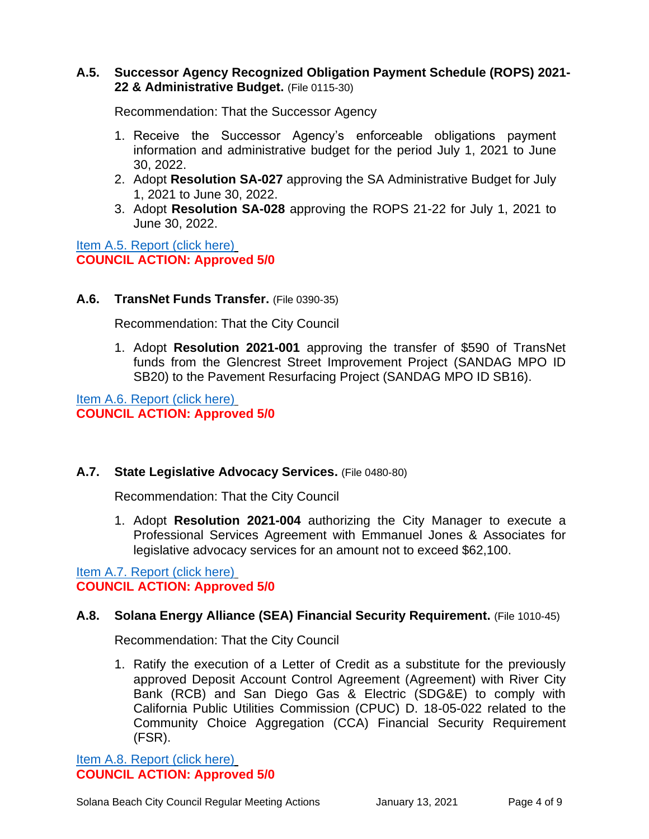## **A.5. Successor Agency Recognized Obligation Payment Schedule (ROPS) 2021- 22 & Administrative Budget.** (File 0115-30)

Recommendation: That the Successor Agency

- 1. Receive the Successor Agency's enforceable obligations payment information and administrative budget for the period July 1, 2021 to June 30, 2022.
- 2. Adopt **Resolution SA-027** approving the SA Administrative Budget for July 1, 2021 to June 30, 2022.
- 3. Adopt **Resolution SA-028** approving the ROPS 21-22 for July 1, 2021 to June 30, 2022.

[Item A.5. Report \(click here\)](https://solanabeach.govoffice3.com/vertical/Sites/%7B840804C2-F869-4904-9AE3-720581350CE7%7D/uploads/Item_A.5._Report_(click_here)_1-13-21_O.pdf) **COUNCIL ACTION: Approved 5/0**

## **A.6. TransNet Funds Transfer.** (File 0390-35)

Recommendation: That the City Council

1. Adopt **Resolution 2021-001** approving the transfer of \$590 of TransNet funds from the Glencrest Street Improvement Project (SANDAG MPO ID SB20) to the Pavement Resurfacing Project (SANDAG MPO ID SB16).

[Item A.6. Report \(click here\)](https://solanabeach.govoffice3.com/vertical/Sites/%7B840804C2-F869-4904-9AE3-720581350CE7%7D/uploads/Item_A.6._Report_(click_here)_1-13-21_O.pdf) **COUNCIL ACTION: Approved 5/0**

## **A.7. State Legislative Advocacy Services.** (File 0480-80)

Recommendation: That the City Council

1. Adopt **Resolution 2021-004** authorizing the City Manager to execute a Professional Services Agreement with Emmanuel Jones & Associates for legislative advocacy services for an amount not to exceed \$62,100.

[Item A.7. Report \(click here\)](https://solanabeach.govoffice3.com/vertical/Sites/%7B840804C2-F869-4904-9AE3-720581350CE7%7D/uploads/Item_A.7._Report_(click_here)_1-13-21_O.pdf) **COUNCIL ACTION: Approved 5/0**

## **A.8. Solana Energy Alliance (SEA) Financial Security Requirement.** (File 1010-45)

Recommendation: That the City Council

1. Ratify the execution of a Letter of Credit as a substitute for the previously approved Deposit Account Control Agreement (Agreement) with River City Bank (RCB) and San Diego Gas & Electric (SDG&E) to comply with California Public Utilities Commission (CPUC) D. 18-05-022 related to the Community Choice Aggregation (CCA) Financial Security Requirement (FSR).

[Item A.8. Report \(click here\)](https://solanabeach.govoffice3.com/vertical/Sites/%7B840804C2-F869-4904-9AE3-720581350CE7%7D/uploads/Item_A.8._Report_(click_here)_1-13-21_O.pdf) **COUNCIL ACTION: Approved 5/0**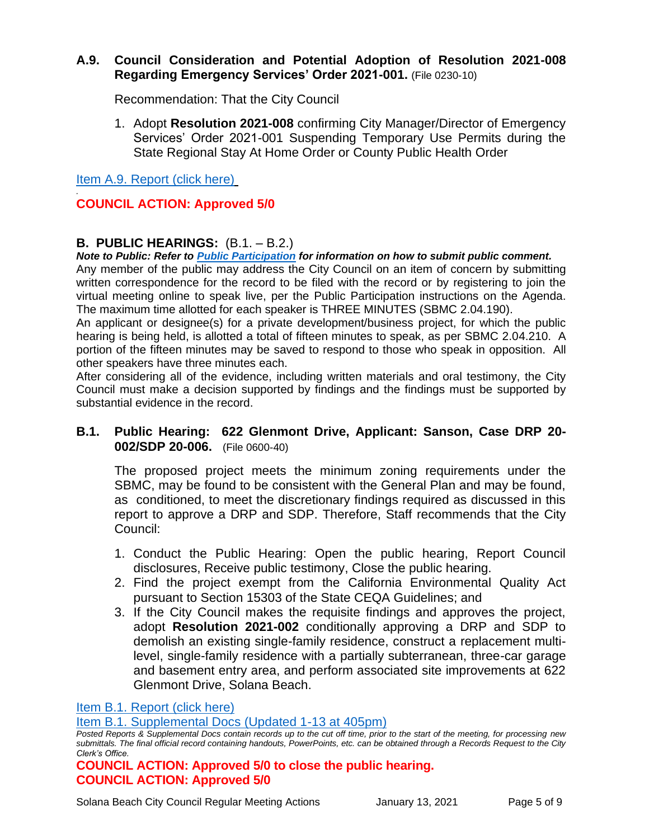#### **A.9. Council Consideration and Potential Adoption of Resolution 2021-008 Regarding Emergency Services' Order 2021-001.** (File 0230-10)

Recommendation: That the City Council

1. Adopt **Resolution 2021-008** confirming City Manager/Director of Emergency Services' Order 2021-001 Suspending Temporary Use Permits during the State Regional Stay At Home Order or County Public Health Order

[Item A.9. Report \(click here\)](https://solanabeach.govoffice3.com/vertical/Sites/%7B840804C2-F869-4904-9AE3-720581350CE7%7D/uploads/Item_A.9._Report_(click_here)_1-13-21_O.pdf)

#### *.* **COUNCIL ACTION: Approved 5/0**

## **B. PUBLIC HEARINGS:** (B.1. – B.2.)

*Note to Public: Refer to Public Participation for information on how to submit public comment.*  Any member of the public may address the City Council on an item of concern by submitting written correspondence for the record to be filed with the record or by registering to join the virtual meeting online to speak live, per the Public Participation instructions on the Agenda. The maximum time allotted for each speaker is THREE MINUTES (SBMC 2.04.190).

An applicant or designee(s) for a private development/business project, for which the public hearing is being held, is allotted a total of fifteen minutes to speak, as per SBMC 2.04.210. A portion of the fifteen minutes may be saved to respond to those who speak in opposition. All other speakers have three minutes each.

After considering all of the evidence, including written materials and oral testimony, the City Council must make a decision supported by findings and the findings must be supported by substantial evidence in the record.

## **B.1. Public Hearing: 622 Glenmont Drive, Applicant: Sanson, Case DRP 20- 002/SDP 20-006.** (File 0600-40)

The proposed project meets the minimum zoning requirements under the SBMC, may be found to be consistent with the General Plan and may be found, as conditioned, to meet the discretionary findings required as discussed in this report to approve a DRP and SDP. Therefore, Staff recommends that the City Council:

- 1. Conduct the Public Hearing: Open the public hearing, Report Council disclosures, Receive public testimony, Close the public hearing.
- 2. Find the project exempt from the California Environmental Quality Act pursuant to Section 15303 of the State CEQA Guidelines; and
- 3. If the City Council makes the requisite findings and approves the project, adopt **Resolution 2021-002** conditionally approving a DRP and SDP to demolish an existing single-family residence, construct a replacement multilevel, single-family residence with a partially subterranean, three-car garage and basement entry area, and perform associated site improvements at 622 Glenmont Drive, Solana Beach.

#### [Item B.1. Report \(click here\)](https://solanabeach.govoffice3.com/vertical/Sites/%7B840804C2-F869-4904-9AE3-720581350CE7%7D/uploads/Item_B.1._Report_(click_here)_1-13-21_O.pdf)

[Item B.1. Supplemental Docs \(Updated 1-13](https://solanabeach.govoffice3.com/vertical/Sites/%7B840804C2-F869-4904-9AE3-720581350CE7%7D/uploads/Item_B.1._Supplemental_Docs_(upd._1-13_at_405pm)_-_O.pdf) at 405pm)

## **COUNCIL ACTION: Approved 5/0 to close the public hearing. COUNCIL ACTION: Approved 5/0**

*Posted Reports & Supplemental Docs contain records up to the cut off time, prior to the start of the meeting, for processing new submittals. The final official record containing handouts, PowerPoints, etc. can be obtained through a Records Request to the City Clerk's Office.*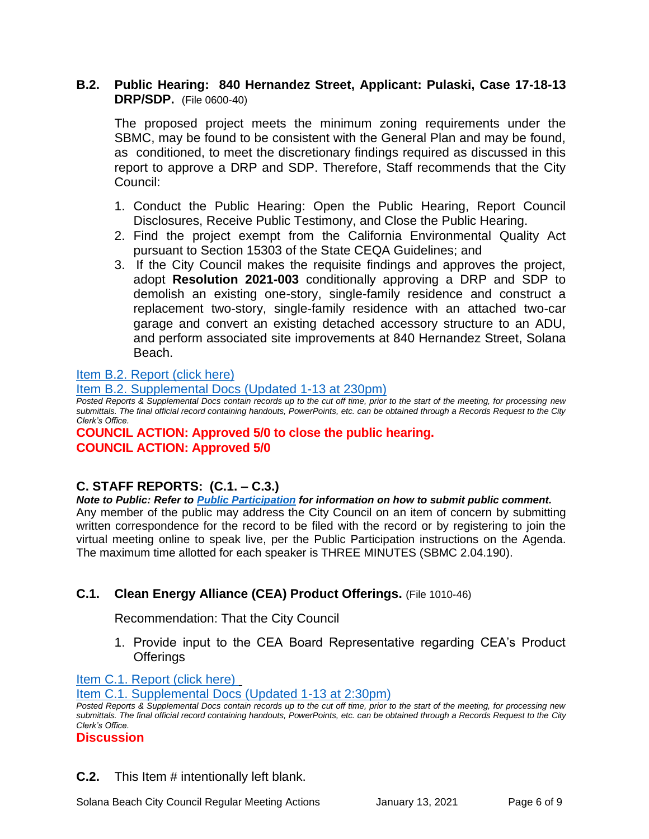## **B.2. Public Hearing: 840 Hernandez Street, Applicant: Pulaski, Case 17-18-13 DRP/SDP.** (File 0600-40)

The proposed project meets the minimum zoning requirements under the SBMC, may be found to be consistent with the General Plan and may be found, as conditioned, to meet the discretionary findings required as discussed in this report to approve a DRP and SDP. Therefore, Staff recommends that the City Council:

- 1. Conduct the Public Hearing: Open the Public Hearing, Report Council Disclosures, Receive Public Testimony, and Close the Public Hearing.
- 2. Find the project exempt from the California Environmental Quality Act pursuant to Section 15303 of the State CEQA Guidelines; and
- 3. If the City Council makes the requisite findings and approves the project, adopt **Resolution 2021-003** conditionally approving a DRP and SDP to demolish an existing one-story, single-family residence and construct a replacement two-story, single-family residence with an attached two-car garage and convert an existing detached accessory structure to an ADU, and perform associated site improvements at 840 Hernandez Street, Solana Beach.

[Item B.2. Report \(click here\)](https://solanabeach.govoffice3.com/vertical/Sites/%7B840804C2-F869-4904-9AE3-720581350CE7%7D/uploads/Item_B.2._Report_(click_here)_1-13-21_O.pdf)

[Item B.2. Supplemental Docs \(Updated](https://solanabeach.govoffice3.com/vertical/Sites/%7B840804C2-F869-4904-9AE3-720581350CE7%7D/uploads/Item_B.2._Supplemental_Docs_(upd._1-13_at_1230pm)_-_O.pdf) 1-13 at 230pm)

*Posted Reports & Supplemental Docs contain records up to the cut off time, prior to the start of the meeting, for processing new submittals. The final official record containing handouts, PowerPoints, etc. can be obtained through a Records Request to the City Clerk's Office.*

## **COUNCIL ACTION: Approved 5/0 to close the public hearing. COUNCIL ACTION: Approved 5/0**

## **C. STAFF REPORTS: (C.1. – C.3.)**

#### *Note to Public: Refer to Public Participation for information on how to submit public comment.*

Any member of the public may address the City Council on an item of concern by submitting written correspondence for the record to be filed with the record or by registering to join the virtual meeting online to speak live, per the Public Participation instructions on the Agenda. The maximum time allotted for each speaker is THREE MINUTES (SBMC 2.04.190).

## **C.1. Clean Energy Alliance (CEA) Product Offerings.** (File 1010-46)

Recommendation: That the City Council

1. Provide input to the CEA Board Representative regarding CEA's Product **Offerings** 

[Item C.1. Report](https://solanabeach.govoffice3.com/vertical/Sites/%7B840804C2-F869-4904-9AE3-720581350CE7%7D/uploads/Item_C.1._Report_(click_here)_1-13-21_O.pdf) (click here)

[Item C.1. Supplemental Docs \(Updated 1-13](https://solanabeach.govoffice3.com/vertical/Sites/%7B840804C2-F869-4904-9AE3-720581350CE7%7D/uploads/Item_C.1._Supplemental_Docs_(upd._1-13_215pm)_-_O.pdf) at 2:30pm)

*Posted Reports & Supplemental Docs contain records up to the cut off time, prior to the start of the meeting, for processing new submittals. The final official record containing handouts, PowerPoints, etc. can be obtained through a Records Request to the City Clerk's Office.*

**Discussion**

**C.2.** This Item # intentionally left blank.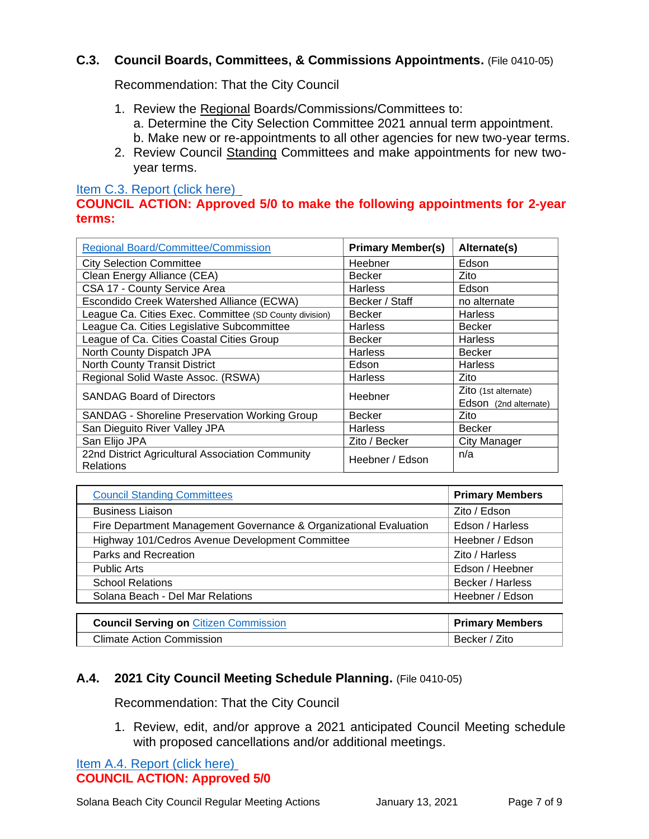## **C.3. Council Boards, Committees, & Commissions Appointments.** (File 0410-05)

Recommendation: That the City Council

- 1. Review the Regional Boards/Commissions/Committees to: a. Determine the City Selection Committee 2021 annual term appointment. b. Make new or re-appointments to all other agencies for new two-year terms.
- 2. Review Council Standing Committees and make appointments for new twoyear terms.

#### [Item C.3. Report \(click here\)](https://solanabeach.govoffice3.com/vertical/Sites/%7B840804C2-F869-4904-9AE3-720581350CE7%7D/uploads/Item_C.3._Report_(click_here)_1-13-21_O.pdf)

## **COUNCIL ACTION: Approved 5/0 to make the following appointments for 2-year terms:**

| <b>Regional Board/Committee/Commission</b>                           | <b>Primary Member(s)</b> | Alternate(s)          |
|----------------------------------------------------------------------|--------------------------|-----------------------|
| <b>City Selection Committee</b>                                      | Heebner                  | Edson                 |
| Clean Energy Alliance (CEA)                                          | <b>Becker</b>            | Zito                  |
| CSA 17 - County Service Area                                         | <b>Harless</b>           | Edson                 |
| Escondido Creek Watershed Alliance (ECWA)                            | Becker / Staff           | no alternate          |
| League Ca. Cities Exec. Committee (SD County division)               | <b>Becker</b>            | <b>Harless</b>        |
| League Ca. Cities Legislative Subcommittee                           | <b>Harless</b>           | <b>Becker</b>         |
| League of Ca. Cities Coastal Cities Group                            | <b>Becker</b>            | <b>Harless</b>        |
| North County Dispatch JPA                                            | <b>Harless</b>           | <b>Becker</b>         |
| North County Transit District                                        | Edson                    | <b>Harless</b>        |
| Regional Solid Waste Assoc. (RSWA)                                   | <b>Harless</b>           | Zito                  |
| <b>SANDAG Board of Directors</b>                                     | Heebner                  | Zito (1st alternate)  |
|                                                                      |                          | Edson (2nd alternate) |
| SANDAG - Shoreline Preservation Working Group                        | <b>Becker</b>            | Zito                  |
| San Dieguito River Valley JPA                                        | <b>Harless</b>           | <b>Becker</b>         |
| San Elijo JPA                                                        | Zito / Becker            | <b>City Manager</b>   |
| 22nd District Agricultural Association Community<br><b>Relations</b> | Heebner / Edson          | n/a                   |

| <b>Council Standing Committees</b>                                | <b>Primary Members</b> |
|-------------------------------------------------------------------|------------------------|
| <b>Business Liaison</b>                                           | Zito / Edson           |
| Fire Department Management Governance & Organizational Evaluation | Edson / Harless        |
| Highway 101/Cedros Avenue Development Committee                   | Heebner / Edson        |
| Parks and Recreation                                              | Zito / Harless         |
| <b>Public Arts</b>                                                | Edson / Heebner        |
| <b>School Relations</b>                                           | Becker / Harless       |
| Solana Beach - Del Mar Relations                                  | Heebner / Edson        |
|                                                                   |                        |

| <b>Council Serving on Citizen Commission</b> | <b>Primary Members</b> |
|----------------------------------------------|------------------------|
| Climate Action Commission                    | Becker / Zito          |

## **A.4. 2021 City Council Meeting Schedule Planning.** (File 0410-05)

Recommendation: That the City Council

1. Review, edit, and/or approve a 2021 anticipated Council Meeting schedule with proposed cancellations and/or additional meetings.

## [Item A.4. Report \(click here\)](https://solanabeach.govoffice3.com/vertical/Sites/%7B840804C2-F869-4904-9AE3-720581350CE7%7D/uploads/Item_A.4._Report_(click_here)_1-13-21_O.pdf) **COUNCIL ACTION: Approved 5/0**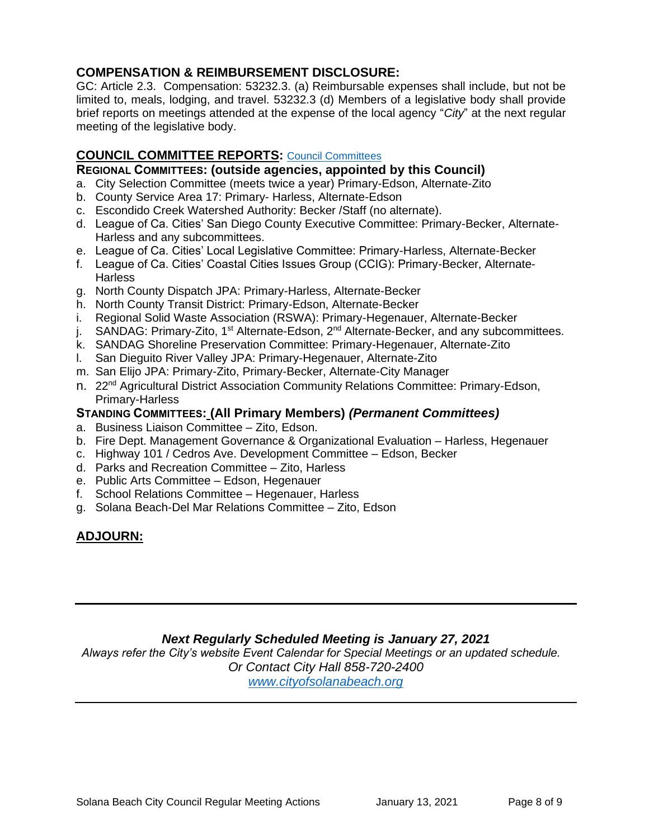## **COMPENSATION & REIMBURSEMENT DISCLOSURE:**

GC: Article 2.3. Compensation: 53232.3. (a) Reimbursable expenses shall include, but not be limited to, meals, lodging, and travel. 53232.3 (d) Members of a legislative body shall provide brief reports on meetings attended at the expense of the local agency "*City*" at the next regular meeting of the legislative body.

## **COUNCIL COMMITTEE REPORTS:** [Council Committees](https://www.ci.solana-beach.ca.us/index.asp?SEC=584E1192-3850-46EA-B977-088AC3E81E0D&Type=B_BASIC)

#### **REGIONAL COMMITTEES: (outside agencies, appointed by this Council)**

- a. City Selection Committee (meets twice a year) Primary-Edson, Alternate-Zito
- b. County Service Area 17: Primary- Harless, Alternate-Edson
- c. Escondido Creek Watershed Authority: Becker /Staff (no alternate).
- d. League of Ca. Cities' San Diego County Executive Committee: Primary-Becker, Alternate-Harless and any subcommittees.
- e. League of Ca. Cities' Local Legislative Committee: Primary-Harless, Alternate-Becker
- f. League of Ca. Cities' Coastal Cities Issues Group (CCIG): Primary-Becker, Alternate-**Harless**
- g. North County Dispatch JPA: Primary-Harless, Alternate-Becker
- h. North County Transit District: Primary-Edson, Alternate-Becker
- i. Regional Solid Waste Association (RSWA): Primary-Hegenauer, Alternate-Becker
- j. SANDAG: Primary-Zito, 1<sup>st</sup> Alternate-Edson, 2<sup>nd</sup> Alternate-Becker, and any subcommittees.
- k. SANDAG Shoreline Preservation Committee: Primary-Hegenauer, Alternate-Zito
- l. San Dieguito River Valley JPA: Primary-Hegenauer, Alternate-Zito
- m. San Elijo JPA: Primary-Zito, Primary-Becker, Alternate-City Manager
- n. 22nd Agricultural District Association Community Relations Committee: Primary-Edson, Primary-Harless

#### **STANDING COMMITTEES: (All Primary Members)** *(Permanent Committees)*

- a. Business Liaison Committee Zito, Edson.
- b. Fire Dept. Management Governance & Organizational Evaluation Harless, Hegenauer
- c. Highway 101 / Cedros Ave. Development Committee Edson, Becker
- d. Parks and Recreation Committee Zito, Harless
- e. Public Arts Committee Edson, Hegenauer
- f. School Relations Committee Hegenauer, Harless
- g. Solana Beach-Del Mar Relations Committee Zito, Edson

## **ADJOURN:**

## *Next Regularly Scheduled Meeting is January 27, 2021*

*Always refer the City's website Event Calendar for Special Meetings or an updated schedule. Or Contact City Hall 858-720-2400 [www.cityofsolanabeach.org](http://www.cityofsolanabeach.org/)*